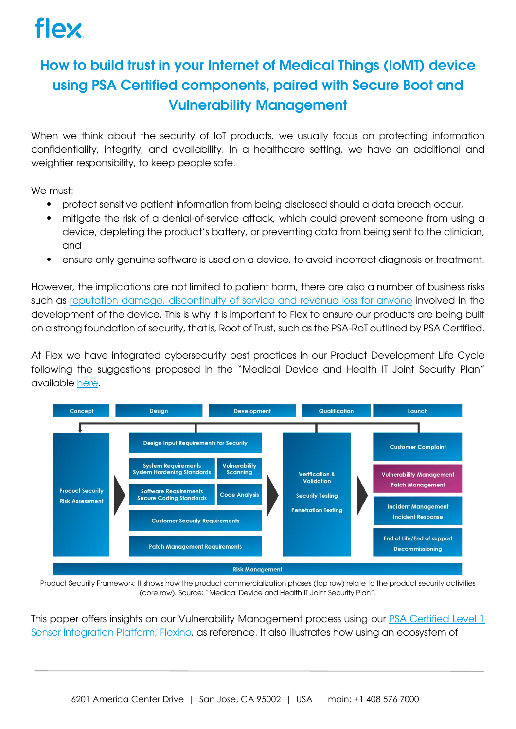### How to build trust in your Internet of Medical Things (IoMT) device using PSA Certified components, paired with Secure Boot and Vulnerability Management

When we think about the security of IoT products, we usually focus on protecting information confidentiality, integrity, and availability. In a healthcare setting, we have an additional and weightier responsibility, to keep people safe.

We must:

- protect sensitive patient information from being disclosed should a data breach occur,
- mitigate the risk of a denial-of-service attack, which could prevent someone from using a device, depleting the product's battery, or preventing data from being sent to the clinician, and
- ensure only genuine software is used on a device, to avoid incorrect diagnosis or treatment.

However, the implications are not limited to patient harm, there are also a number of business risks such as reputation [damage, discontinuity of service and revenue](https://publications.psacertified.org/breaking-down-the-cost-of-security/cover/) loss for anyone involved in the development of the device. This is why it is important to Flex to ensure our products are being built on a strong foundation of security, that is, Root of Trust, such as the PSA-RoT outlined by PSA Certified.

At Flex we have integrated cybersecurity best practices in our Product Development Life Cycle following the suggestions proposed in the "Medical Device and Health IT Joint Security Plan" available [here.](https://healthsectorcouncil.org/wp-content/uploads/2019/01/HSCC-MEDTECH-JSP-v1.pdf)



Product Security Framework: It shows how the product commercialization phases (top row) relate to the product security activities (core row). Source: "Medical Device and Health IT Joint Security Plan".

This paper offers insights on our Vulnerability Management process using our [PSA Certified Level 1](https://www.psacertified.org/products/flexino-sensor-integration-platform/)  [Sensor Integration](https://www.psacertified.org/products/flexino-sensor-integration-platform/) Platform, Flexino, as reference. It also illustrates how using an ecosystem of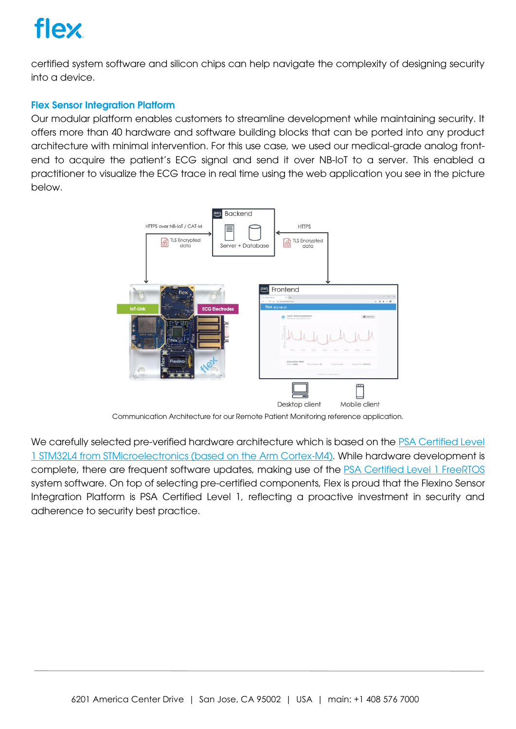# flex

certified system software and silicon chips can help navigate the complexity of designing security into a device.

#### Flex Sensor Integration Platform

Our modular platform enables customers to streamline development while maintaining security. It offers more than 40 hardware and software building blocks that can be ported into any product architecture with minimal intervention. For this use case, we used our medical-grade analog frontend to acquire the patient's ECG signal and send it over NB-IoT to a server. This enabled a practitioner to visualize the ECG trace in real time using the web application you see in the picture below.



Communication Architecture for our Remote Patient Monitoring reference application.

We carefully selected pre-verified hardware architecture which is based on the PSA Certified Level [1 STM32L4 from STMicroelectronics \(based on the Arm Cortex-M4\).](https://www.psacertified.org/certified-products/) While hardware development is complete, there are frequent software updates, making use of the [PSA Certified Level 1 FreeRTOS](https://www.psacertified.org/certified-products/) system software. On top of selecting pre-certified components, Flex is proud that the Flexino Sensor Integration Platform is PSA Certified Level 1, reflecting a proactive investment in security and adherence to security best practice.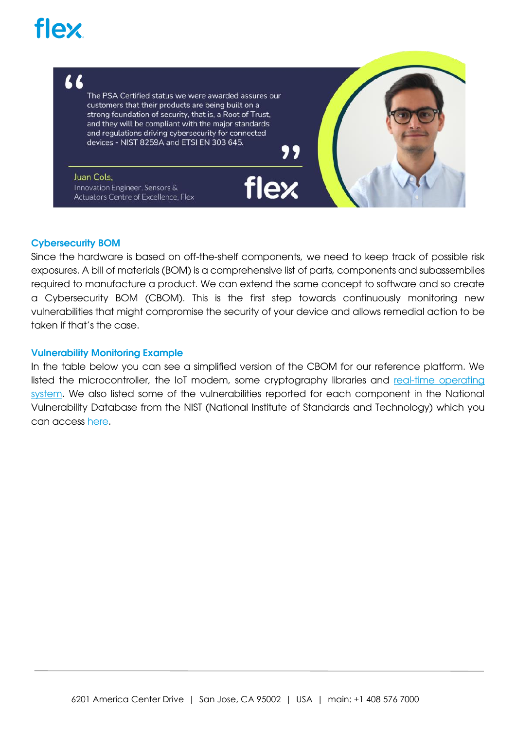# **flex**

"

The PSA Certified status we were awarded assures our customers that their products are being built on a strong foundation of security, that is, a Root of Trust, and they will be compliant with the major standards and regulations driving cybersecurity for connected devices - NIST 8259A and ETSI EN 303 645.

Juan Cols, Innovation Engineer, Sensors & Actuators Centre of Excellence, Flex

#### Cybersecurity BOM

Since the hardware is based on off-the-shelf components, we need to keep track of possible risk exposures. A bill of materials (BOM) is a comprehensive list of parts, components and subassemblies required to manufacture a product. We can extend the same concept to software and so create a Cybersecurity BOM (CBOM). This is the first step towards continuously monitoring new vulnerabilities that might compromise the security of your device and allows remedial action to be taken if that's the case.

flex

#### Vulnerability Monitoring Example

In the table below you can see a simplified version of the CBOM for our reference platform. We listed the microcontroller, the IoT modem, some cryptography libraries and real-time operating [system.](https://www.psacertified.org/products/freertos/certificates/#security-level-1) We also listed some of the vulnerabilities reported for each component in the National Vulnerability Database from the NIST (National Institute of Standards and Technology) which you can access [here.](https://nvd.nist.gov/vuln/search)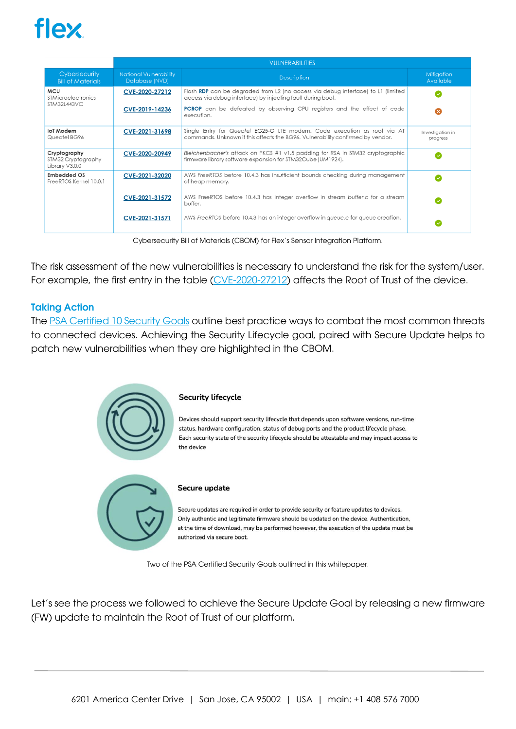### fley

|                                                               | <b>VULNERABILITIES</b>                          |                                                                                                                                                            |                                |
|---------------------------------------------------------------|-------------------------------------------------|------------------------------------------------------------------------------------------------------------------------------------------------------------|--------------------------------|
| Cybersecurity<br><b>Bill of Materials</b>                     | <b>National Vulnerability</b><br>Database (NVD) | <b>Description</b>                                                                                                                                         | <b>Mitigation</b><br>Available |
| <b>MCU</b><br><b>STMicroelectronics</b><br><b>STM32L443VC</b> | CVE-2020-27212                                  | Flash RDP can be degraded from L2 (no access via debug interface) to L1 (limited<br>access via debug interface) by injecting fault during boot.            |                                |
|                                                               | CVE-2019-14236                                  | <b>PCROP</b> can be defeated by observing CPU registers and the effect of code<br>execution.                                                               |                                |
| loT Modem<br>Quectel BG96                                     | CVE-2021-31698                                  | Single Entry for Quectel EG25-G LTE modem. Code execution as root via AT<br>commands. Unknown if this affects the BG96. Vulnerability confirmed by vendor. | Investigation in<br>progress   |
| Cryptography<br>STM32 Cryptography<br>Library V3.0.0          | CVE-2020-20949                                  | Bleichenbacher's attack on PKCS #1 v1.5 padding for RSA in STM32 cryptographic<br>firmware library software expansion for STM32Cube (UM1924).              |                                |
| <b>Embedded OS</b><br>FreeRTOS Kernel 10.0.1                  | CVE-2021-32020                                  | AWS FreeRTOS before 10.4.3 has insufficient bounds checking during management<br>of heap memory.                                                           |                                |
|                                                               | CVE-2021-31572                                  | AWS FreeRTOS before 10.4.3 has integer overflow in stream buffer.c for a stream<br>buffer.                                                                 |                                |
|                                                               | CVE-2021-31571                                  | AWS FreeRTOS before 10.4.3 has an integer overflow in queue.c for queue creation.                                                                          |                                |

Cybersecurity Bill of Materials (CBOM) for Flex's Sensor Integration Platform.

The risk assessment of the new vulnerabilities is necessary to understand the risk for the system/user. For example, the first entry in the table [\(CVE-2020-27212\)](https://nvd.nist.gov/vuln/detail/CVE-2020-27212) affects the Root of Trust of the device.

#### Taking Action

The [PSA Certified 10 Security Goals](https://www.psacertified.org/blog/psa-certified-10-security-goals-explained/) outline best practice ways to combat the most common threats to connected devices. Achieving the Security Lifecycle goal, paired with Secure Update helps to patch new vulnerabilities when they are highlighted in the CBOM.



Two of the PSA Certified Security Goals outlined in this whitepaper.

Let's see the process we followed to achieve the Secure Update Goal by releasing a new firmware (FW) update to maintain the Root of Trust of our platform.